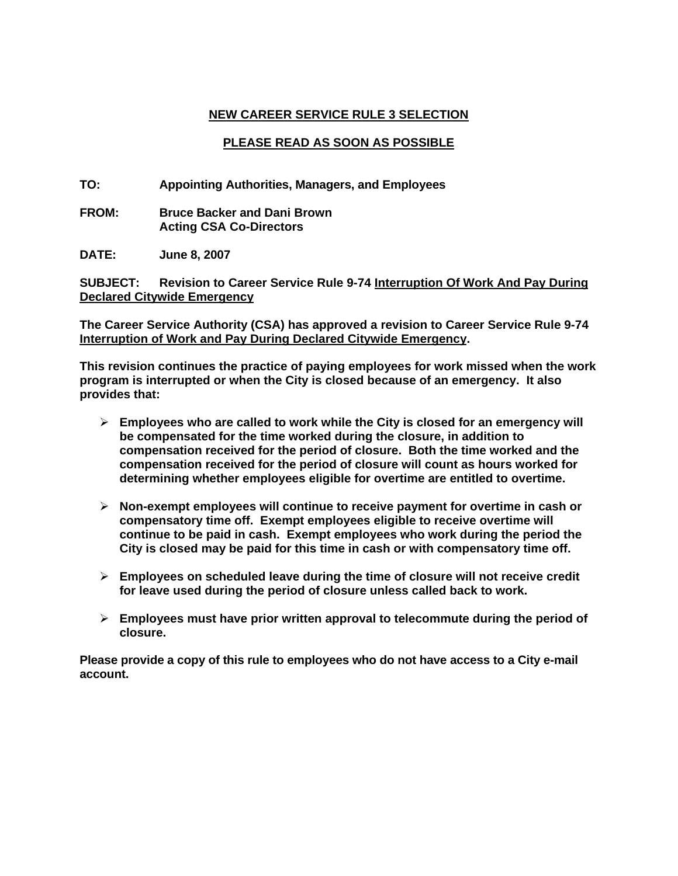# **NEW CAREER SERVICE RULE 3 SELECTION**

## **PLEASE READ AS SOON AS POSSIBLE**

**TO: Appointing Authorities, Managers, and Employees** 

**FROM: Bruce Backer and Dani Brown Acting CSA Co-Directors** 

**DATE: June 8, 2007** 

**SUBJECT: Revision to Career Service Rule 9-74 Interruption Of Work And Pay During Declared Citywide Emergency**

**The Career Service Authority (CSA) has approved a revision to Career Service Rule 9-74 Interruption of Work and Pay During Declared Citywide Emergency.** 

**This revision continues the practice of paying employees for work missed when the work program is interrupted or when the City is closed because of an emergency. It also provides that:** 

- ¾ **Employees who are called to work while the City is closed for an emergency will be compensated for the time worked during the closure, in addition to compensation received for the period of closure. Both the time worked and the compensation received for the period of closure will count as hours worked for determining whether employees eligible for overtime are entitled to overtime.**
- ¾ **Non-exempt employees will continue to receive payment for overtime in cash or compensatory time off. Exempt employees eligible to receive overtime will continue to be paid in cash. Exempt employees who work during the period the City is closed may be paid for this time in cash or with compensatory time off.**
- ¾ **Employees on scheduled leave during the time of closure will not receive credit for leave used during the period of closure unless called back to work.**
- ¾ **Employees must have prior written approval to telecommute during the period of closure.**

**Please provide a copy of this rule to employees who do not have access to a City e-mail account.**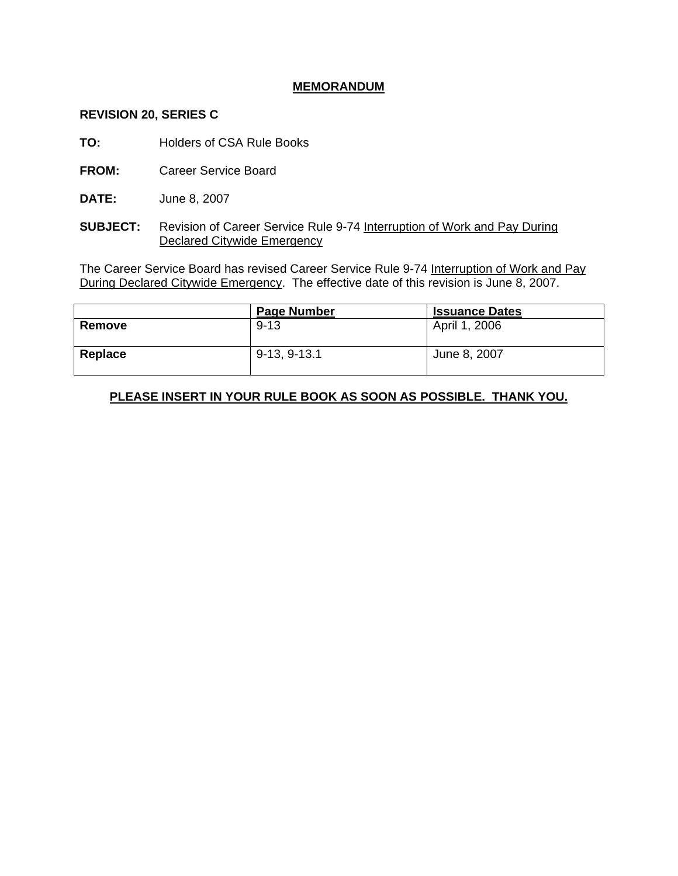## **MEMORANDUM**

#### **REVISION 20, SERIES C**

**TO:** Holders of CSA Rule Books

**FROM:** Career Service Board

**DATE:** June 8, 2007

**SUBJECT:** Revision of Career Service Rule 9-74 Interruption of Work and Pay During Declared Citywide Emergency

The Career Service Board has revised Career Service Rule 9-74 Interruption of Work and Pay During Declared Citywide Emergency. The effective date of this revision is June 8, 2007.

|         | <b>Page Number</b> | <b>Issuance Dates</b> |
|---------|--------------------|-----------------------|
| Remove  | $9 - 13$           | April 1, 2006         |
| Replace | 9-13, 9-13.1       | June 8, 2007          |

# **PLEASE INSERT IN YOUR RULE BOOK AS SOON AS POSSIBLE. THANK YOU.**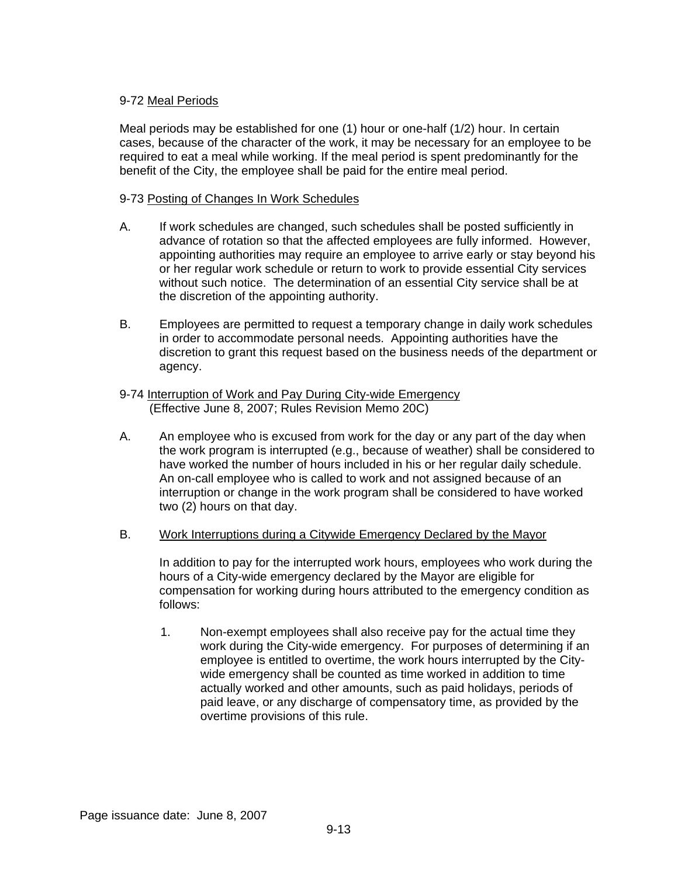## 9-72 Meal Periods

Meal periods may be established for one (1) hour or one-half (1/2) hour. In certain cases, because of the character of the work, it may be necessary for an employee to be required to eat a meal while working. If the meal period is spent predominantly for the benefit of the City, the employee shall be paid for the entire meal period.

## 9-73 Posting of Changes In Work Schedules

- A. If work schedules are changed, such schedules shall be posted sufficiently in advance of rotation so that the affected employees are fully informed. However, appointing authorities may require an employee to arrive early or stay beyond his or her regular work schedule or return to work to provide essential City services without such notice. The determination of an essential City service shall be at the discretion of the appointing authority.
- B. Employees are permitted to request a temporary change in daily work schedules in order to accommodate personal needs. Appointing authorities have the discretion to grant this request based on the business needs of the department or agency.

#### 9-74 Interruption of Work and Pay During City-wide Emergency (Effective June 8, 2007; Rules Revision Memo 20C)

A. An employee who is excused from work for the day or any part of the day when the work program is interrupted (e.g., because of weather) shall be considered to have worked the number of hours included in his or her regular daily schedule. An on-call employee who is called to work and not assigned because of an interruption or change in the work program shall be considered to have worked two (2) hours on that day.

### B. Work Interruptions during a Citywide Emergency Declared by the Mayor

In addition to pay for the interrupted work hours, employees who work during the hours of a City-wide emergency declared by the Mayor are eligible for compensation for working during hours attributed to the emergency condition as follows:

1. Non-exempt employees shall also receive pay for the actual time they work during the City-wide emergency. For purposes of determining if an employee is entitled to overtime, the work hours interrupted by the Citywide emergency shall be counted as time worked in addition to time actually worked and other amounts, such as paid holidays, periods of paid leave, or any discharge of compensatory time, as provided by the overtime provisions of this rule.